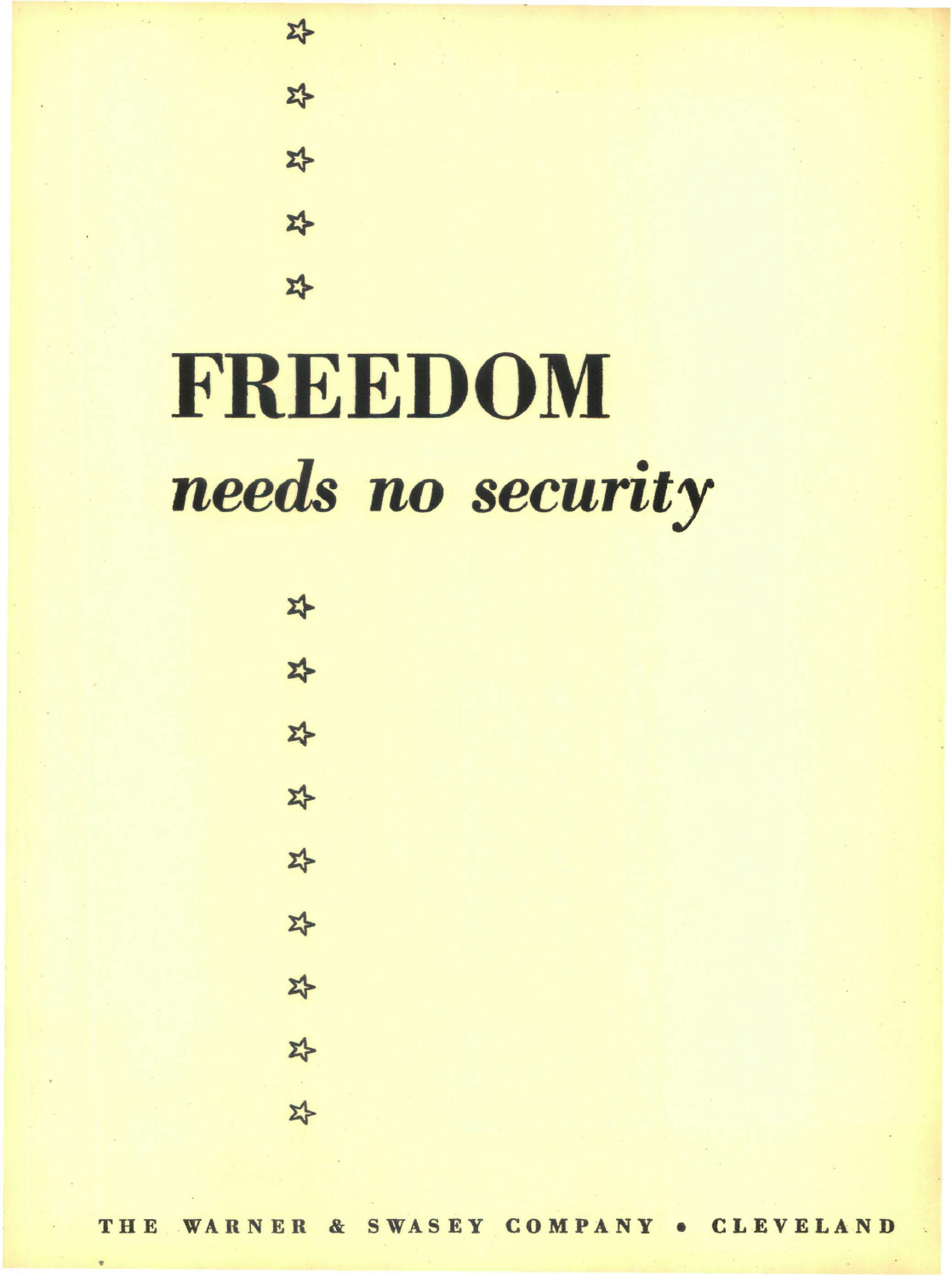## FREEDOM *needs no security*

\* 자 \* \* 작 \* \* \* \*

자

\*

\*

\*

\*

•

THE WARNER & SWASEY COMPANY . CLEVELAND